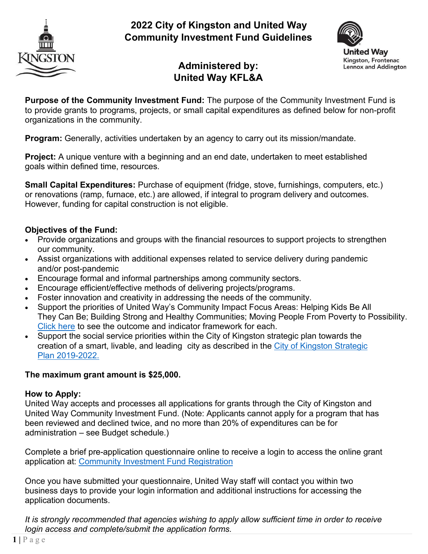

# **2022 City of Kingston and United Way Community Investment Fund Guidelines**



# **Administered by: United Way KFL&A**

**Purpose of the Community Investment Fund:** The purpose of the Community Investment Fund is to provide grants to programs, projects, or small capital expenditures as defined below for non-profit organizations in the community.

**Program:** Generally, activities undertaken by an agency to carry out its mission/mandate.

**Project:** A unique venture with a beginning and an end date, undertaken to meet established goals within defined time, resources.

**Small Capital Expenditures:** Purchase of equipment (fridge, stove, furnishings, computers, etc.) or renovations (ramp, furnace, etc.) are allowed, if integral to program delivery and outcomes. However, funding for capital construction is not eligible.

## **Objectives of the Fund:**

- Provide organizations and groups with the financial resources to support projects to strengthen our community.
- Assist organizations with additional expenses related to service delivery during pandemic and/or post-pandemic
- Encourage formal and informal partnerships among community sectors.
- Encourage efficient/effective methods of delivering projects/programs.
- Foster innovation and creativity in addressing the needs of the community.
- Support the priorities of United Way's Community Impact Focus Areas: Helping Kids Be All They Can Be; Building Strong and Healthy Communities; Moving People From Poverty to Possibility. [Click here](https://www.unitedwaykfla.ca/wp-content/uploads/2020/10/Outcomes-Reporting-Guide.pdf) to see the outcome and indicator framework for each.
- Support the social service priorities within the City of Kingston strategic plan towards the creation of a smart, livable, and leading city as described in the City of Kingston [Strategic](https://www.cityofkingston.ca/documents/10180/30029/City%2Bof%2BKingston%2BStrategic%2BPlan%2B2019-2022.pdf/0b717fa6-5a06-44e4-a67b-3ec1453ebe1b) Plan [2019-2022.](https://www.cityofkingston.ca/documents/10180/30029/City%2Bof%2BKingston%2BStrategic%2BPlan%2B2019-2022.pdf/0b717fa6-5a06-44e4-a67b-3ec1453ebe1b)

## **The maximum grant amount is \$25,000.**

## **How to Apply:**

United Way accepts and processes all applications for grants through the City of Kingston and United Way Community Investment Fund. (Note: Applicants cannot apply for a program that has been reviewed and declined twice, and no more than 20% of expenditures can be for administration – see Budget schedule.)

Complete a brief pre-application questionnaire online to receive a login to access the online grant application at: [Community Investment Fund Registration](https://andarweb.unitedwaykfla.ca/comm/SurveyNE.jsp?SurveyKeyHex=5A604C362170403D6C567E3E)

Once you have submitted your questionnaire, United Way staff will contact you within two business days to provide your login information and additional instructions for accessing the application documents.

*It is strongly recommended that agencies wishing to apply allow sufficient time in order to receive login access and complete/submit the application forms.*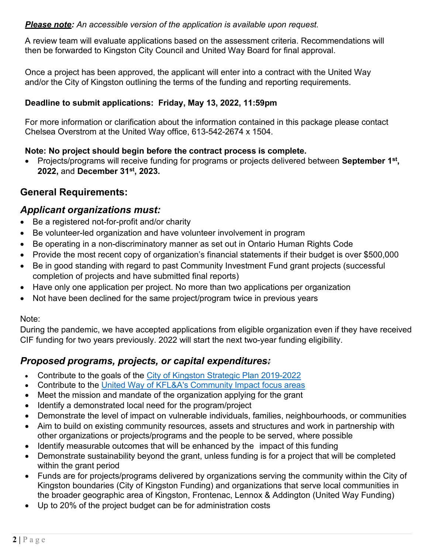## *Please note: An accessible version of the application is available upon request.*

A review team will evaluate applications based on the assessment criteria. Recommendations will then be forwarded to Kingston City Council and United Way Board for final approval.

Once a project has been approved, the applicant will enter into a contract with the United Way and/or the City of Kingston outlining the terms of the funding and reporting requirements.

## **Deadline to submit applications: Friday, May 13, 2022, 11:59pm**

For more information or clarification about the information contained in this package please contact Chelsea Overstrom at the United Way office, 613-542-2674 x 1504.

## **Note: No project should begin before the contract process is complete.**

• Projects/programs will receive funding for programs or projects delivered between **September 1st , 2022,** and **December 31st, 2023.** 

# **General Requirements:**

## *Applicant organizations must:*

- Be a registered not-for-profit and/or charity
- Be volunteer-led organization and have volunteer involvement in program
- Be operating in a non-discriminatory manner as set out in Ontario Human Rights Code
- Provide the most recent copy of organization's financial statements if their budget is over \$500,000
- Be in good standing with regard to past Community Investment Fund grant projects (successful completion of projects and have submitted final reports)
- Have only one application per project. No more than two applications per organization
- Not have been declined for the same project/program twice in previous years

## Note:

During the pandemic, we have accepted applications from eligible organization even if they have received CIF funding for two years previously. 2022 will start the next two-year funding eligibility.

## *Proposed programs, projects, or capital expenditures:*

- Contribute to the goals of the City of Kingston Strategic Plan [2019-2022](https://www.cityofkingston.ca/documents/10180/30029/City%2Bof%2BKingston%2BStrategic%2BPlan%2B2019-2022.pdf/0b717fa6-5a06-44e4-a67b-3ec1453ebe1b)
- Contribute to the United Way of KFL&A's [Community](https://www.unitedwaykfla.ca/funding/) Impact focus areas
- Meet the mission and mandate of the organization applying for the grant
- Identify a demonstrated local need for the program/project
- Demonstrate the level of impact on vulnerable individuals, families, neighbourhoods, or communities
- Aim to build on existing community resources, assets and structures and work in partnership with other organizations or projects/programs and the people to be served, where possible
- Identify measurable outcomes that will be enhanced by the impact of this funding
- Demonstrate sustainability beyond the grant, unless funding is for a project that will be completed within the grant period
- Funds are for projects/programs delivered by organizations serving the community within the City of Kingston boundaries (City of Kingston Funding) and organizations that serve local communities in the broader geographic area of Kingston, Frontenac, Lennox & Addington (United Way Funding)
- Up to 20% of the project budget can be for administration costs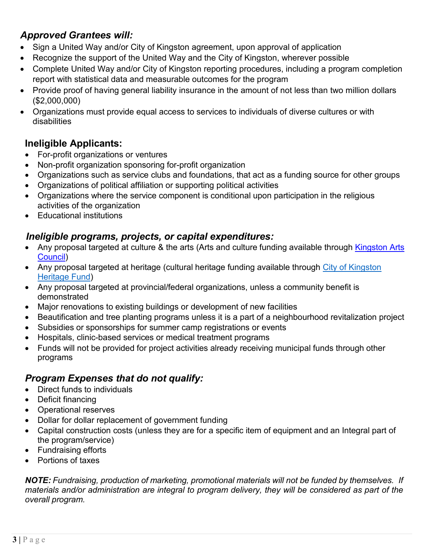# *Approved Grantees will:*

- Sign a United Way and/or City of Kingston agreement, upon approval of application
- Recognize the support of the United Way and the City of Kingston, wherever possible
- Complete United Way and/or City of Kingston reporting procedures, including a program completion report with statistical data and measurable outcomes for the program
- Provide proof of having general liability insurance in the amount of not less than two million dollars (\$2,000,000)
- Organizations must provide equal access to services to individuals of diverse cultures or with disabilities

# **Ineligible Applicants:**

- For-profit organizations or ventures
- Non-profit organization sponsoring for-profit organization
- Organizations such as service clubs and foundations, that act as a funding source for other groups
- Organizations of political affiliation or supporting political activities
- Organizations where the service component is conditional upon participation in the religious activities of the organization
- Educational institutions

# *Ineligible programs, projects, or capital expenditures:*

- Any proposal targeted at culture & the arts (Arts and culture funding available through Kingston Arts [Council\)](http://www.artskingston.ca/)
- Any proposal targeted at heritage (cultural heritage funding available through City [of Kingston](http://www.kingstonmuseums.ca/) **[Heritage](http://www.kingstonmuseums.ca/) Fund)**
- Any proposal targeted at provincial/federal organizations, unless a community benefit is demonstrated
- Major renovations to existing buildings or development of new facilities
- Beautification and tree planting programs unless it is a part of a neighbourhood revitalization project
- Subsidies or sponsorships for summer camp registrations or events
- Hospitals, clinic-based services or medical treatment programs
- Funds will not be provided for project activities already receiving municipal funds through other programs

# *Program Expenses that do not qualify:*

- Direct funds to individuals
- Deficit financing
- Operational reserves
- Dollar for dollar replacement of government funding
- Capital construction costs (unless they are for a specific item of equipment and an Integral part of the program/service)
- Fundraising efforts
- Portions of taxes

*NOTE: Fundraising, production of marketing, promotional materials will not be funded by themselves. If materials and/or administration are integral to program delivery, they will be considered as part of the overall program.*